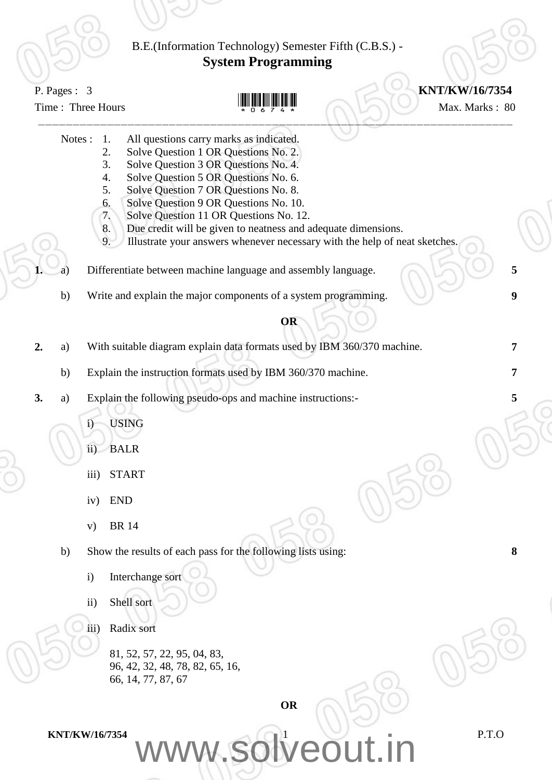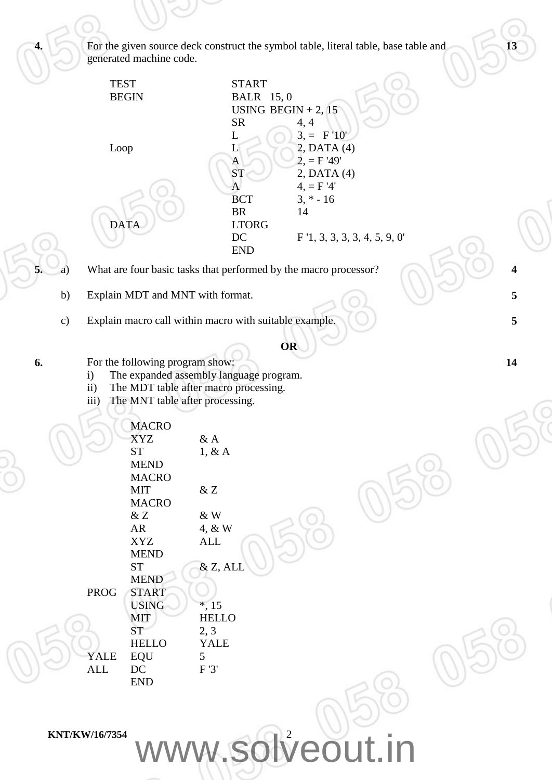**KNT/KW/16/7354** WWW.Solveout.in **4.** For the given source deck construct the symbol table, literal table, base table and generated machine code. TEST START BEGIN BALR 15, 0 USING BEGIN  $+ 2$ , 15  $SR$  4, 4  $L \tbinom{3}{2}$  3, = F'10' Loop  $L = \begin{bmatrix} 2, \text{DATA}(4) \end{bmatrix}$  $A = 2, = F'49'$  $ST$  2, DATA (4) A  $4, = F'4'$ BCT  $3, * -16$ BR 14 DATA LTORG DC F '1, 3, 3, 3, 3, 4, 5, 9, 0' END **13 5.** a) What are four basic tasks that performed by the macro processor? **4** b) Explain MDT and MNT with format. **5** c) Explain macro call within macro with suitable example. **5 OR 6.** For the following program show: i) The expanded assembly language program. ii) The MDT table after macro processing. iii) The MNT table after processing. MACRO XYZ & A  $ST$  1, & A MEND MACRO MIT & Z MACRO & Z & W AR 4, & W XYZ ALL MEND  $ST \& Z, ALL$ MEND PROG START USING \*, 15 MIT HELLO  $ST$  2, 3 HELLO YALE YALE EQU<sup>5</sup> ALL DC F '3' END **14**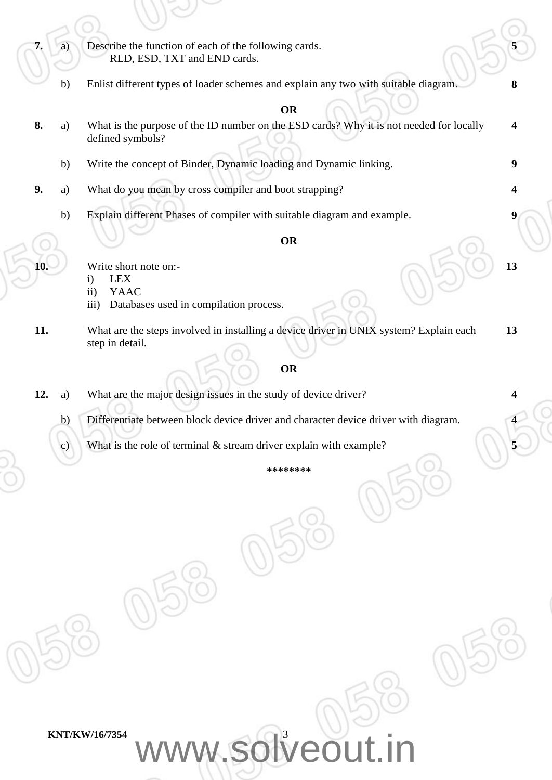**7.** a) Describe the function of each of the following cards. RLD, ESD, TXT and END cards. **5** b) Enlist different types of loader schemes and explain any two with suitable diagram. **8 OR 8.** a) What is the purpose of the ID number on the ESD cards? Why it is not needed for locally defined symbols? **4** b) Write the concept of Binder, Dynamic loading and Dynamic linking. **9 9.** a) What do you mean by cross compiler and boot strapping? **4** b) Explain different Phases of compiler with suitable diagram and example. **9 OR 10.** Write short note on: i) LEX ii) YAAC iii) Databases used in compilation process. **13 11.** What are the steps involved in installing a device driver in UNIX system? Explain each step in detail. **13 OR 12.** a) What are the major design issues in the study of device driver? **4** b) Differentiate between block device driver and character device driver with diagram. **4** c) What is the role of terminal & stream driver explain with example? **5 \*\*\*\*\*\*\*\***

KNT/KW/16/7354 WWW.Solveout.in